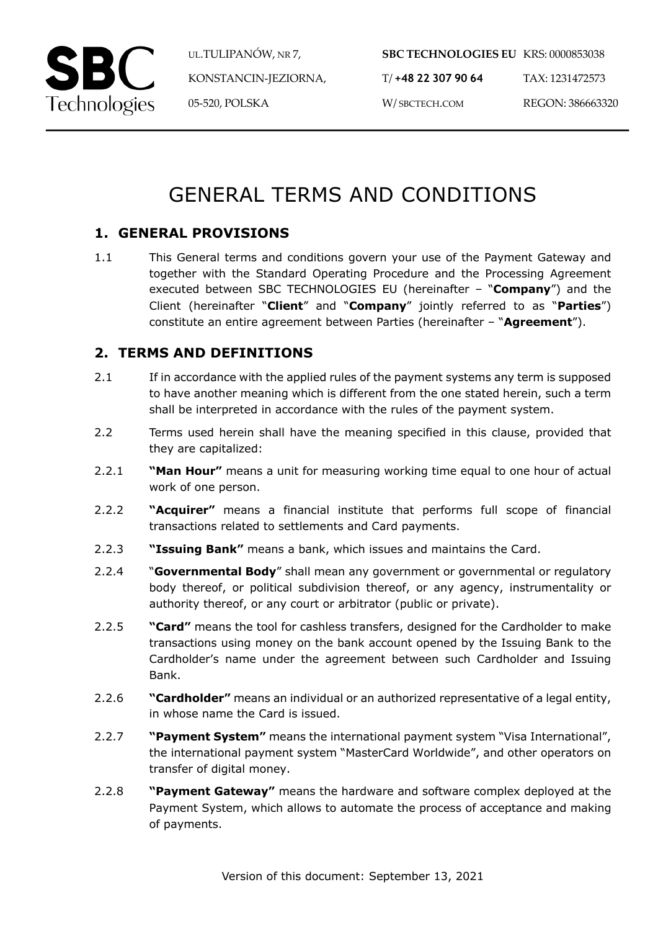

UL.TULIPANÓW, NR 7, KONSTANCIN-JEZIORNA, 05-520, POLSKA

**SBC TECHNOLOGIES EU** KRS: 0000853038 T/ **+48 22 307 90 64** W/ SBCTECH.COM TAX: 1231472573 REGON: 386663320

# GENERAL TERMS AND CONDITIONS

# **1. GENERAL PROVISIONS**

1.1 This General terms and conditions govern your use of the Payment Gateway and together with the Standard Operating Procedure and the Processing Agreement executed between SBC TECHNOLOGIES EU (hereinafter – "**Company**") and the Client (hereinafter "**Client**" and "**Company**" jointly referred to as "**Parties**") constitute an entire agreement between Parties (hereinafter – "**Agreement**").

# **2. TERMS AND DEFINITIONS**

- 2.1 If in accordance with the applied rules of the payment systems any term is supposed to have another meaning which is different from the one stated herein, such a term shall be interpreted in accordance with the rules of the payment system.
- 2.2 Terms used herein shall have the meaning specified in this clause, provided that they are capitalized:
- 2.2.1 **"Man Hour"** means a unit for measuring working time equal to one hour of actual work of one person.
- 2.2.2 **"Acquirer"** means a financial institute that performs full scope of financial transactions related to settlements and Card payments.
- 2.2.3 **"Issuing Bank"** means a bank, which issues and maintains the Card.
- 2.2.4 "**Governmental Body**" shall mean any government or governmental or regulatory body thereof, or political subdivision thereof, or any agency, instrumentality or authority thereof, or any court or arbitrator (public or private).
- 2.2.5 **"Card"** means the tool for cashless transfers, designed for the Cardholder to make transactions using money on the bank account opened by the Issuing Bank to the Cardholder's name under the agreement between such Cardholder and Issuing Bank.
- 2.2.6 **"Cardholder"** means an individual or an authorized representative of a legal entity, in whose name the Card is issued.
- 2.2.7 **"Payment System"** means the international payment system "Visa International", the international payment system "MasterCard Worldwide", and other operators on transfer of digital money.
- 2.2.8 **"Payment Gateway"** means the hardware and software complex deployed at the Payment System, which allows to automate the process of acceptance and making of payments.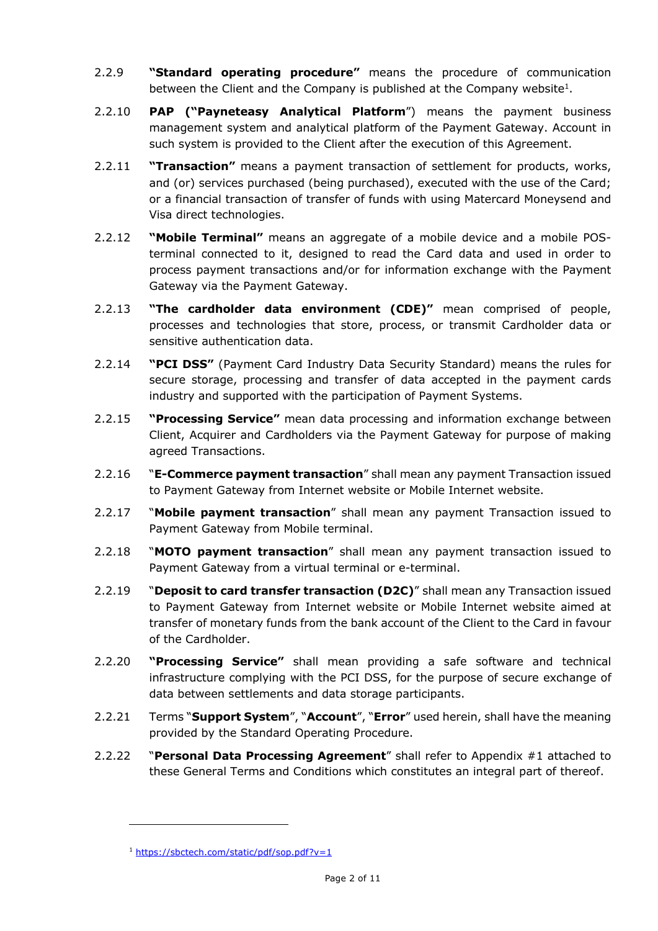- 2.2.9 **"Standard operating procedure"** means the procedure of communication between the Client and the Company is published at the Company website<sup>1</sup>.
- 2.2.10 **PAP ("Payneteasy Analytical Platform**") means the payment business management system and analytical platform of the Payment Gateway. Account in such system is provided to the Client after the execution of this Agreement.
- 2.2.11 **"Transaction"** means a payment transaction of settlement for products, works, and (or) services purchased (being purchased), executed with the use of the Card; or a financial transaction of transfer of funds with using Matercard Moneysend and Visa direct technologies.
- 2.2.12 **"Mobile Terminal"** means an aggregate of a mobile device and a mobile POSterminal connected to it, designed to read the Card data and used in order to process payment transactions and/or for information exchange with the Payment Gateway via the Payment Gateway.
- 2.2.13 **"The cardholder data environment (CDE)"** mean comprised of people, processes and technologies that store, process, or transmit Cardholder data or sensitive authentication data.
- 2.2.14 **"PCI DSS"** (Payment Card Industry Data Security Standard) means the rules for secure storage, processing and transfer of data accepted in the payment cards industry and supported with the participation of Payment Systems.
- 2.2.15 **"Processing Service"** mean data processing and information exchange between Client, Acquirer and Cardholders via the Payment Gateway for purpose of making agreed Transactions.
- 2.2.16 "**E-Commerce payment transaction**" shall mean any payment Transaction issued to Payment Gateway from Internet website or Mobile Internet website.
- 2.2.17 "**Mobile payment transaction**" shall mean any payment Transaction issued to Payment Gateway from Mobile terminal.
- 2.2.18 "**MOTO payment transaction**" shall mean any payment transaction issued to Payment Gateway from a virtual terminal or e-terminal.
- 2.2.19 "**Deposit to card transfer transaction (D2C)**" shall mean any Transaction issued to Payment Gateway from Internet website or Mobile Internet website aimed at transfer of monetary funds from the bank account of the Client to the Card in favour of the Cardholder.
- 2.2.20 **"Processing Service"** shall mean providing a safe software and technical infrastructure complying with the PCI DSS, for the purpose of secure exchange of data between settlements and data storage participants.
- 2.2.21 Terms "**Support System**", "**Account**", "**Error**" used herein, shall have the meaning provided by the Standard Operating Procedure.
- 2.2.22 "**Personal Data Processing Agreement**" shall refer to Appendix #1 attached to these General Terms and Conditions which constitutes an integral part of thereof.

<sup>&</sup>lt;sup>1</sup> https://sbctech.com/static/pdf/sop.pdf?v=1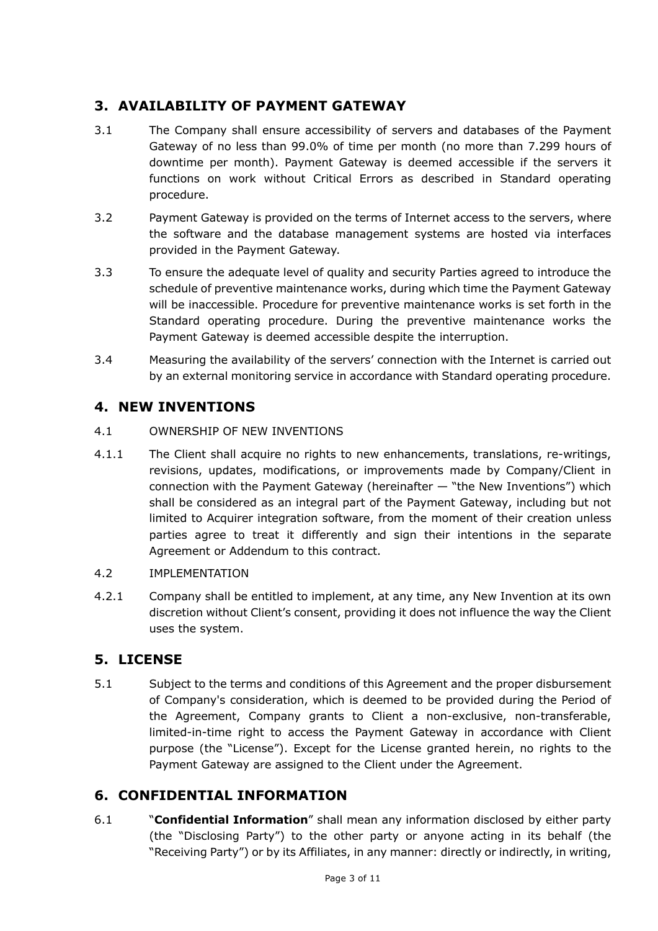# **3. AVAILABILITY OF PAYMENT GATEWAY**

- 3.1 The Company shall ensure accessibility of servers and databases of the Payment Gateway of no less than 99.0% of time per month (no more than 7.299 hours of downtime per month). Payment Gateway is deemed accessible if the servers it functions on work without Critical Errors as described in Standard operating procedure.
- 3.2 Payment Gateway is provided on the terms of Internet access to the servers, where the software and the database management systems are hosted via interfaces provided in the Payment Gateway.
- 3.3 To ensure the adequate level of quality and security Parties agreed to introduce the schedule of preventive maintenance works, during which time the Payment Gateway will be inaccessible. Procedure for preventive maintenance works is set forth in the Standard operating procedure. During the preventive maintenance works the Payment Gateway is deemed accessible despite the interruption.
- 3.4 Measuring the availability of the servers' connection with the Internet is carried out by an external monitoring service in accordance with Standard operating procedure.

# **4. NEW INVENTIONS**

## 4.1 OWNERSHIP OF NEW INVENTIONS

4.1.1 The Client shall acquire no rights to new enhancements, translations, re-writings, revisions, updates, modifications, or improvements made by Company/Client in connection with the Payment Gateway (hereinafter — "the New Inventions") which shall be considered as an integral part of the Payment Gateway, including but not limited to Acquirer integration software, from the moment of their creation unless parties agree to treat it differently and sign their intentions in the separate Agreement or Addendum to this contract.

#### 4.2 IMPLEMENTATION

4.2.1 Company shall be entitled to implement, at any time, any New Invention at its own discretion without Client's consent, providing it does not influence the way the Client uses the system.

# **5. LICENSE**

5.1 Subject to the terms and conditions of this Agreement and the proper disbursement of Company's consideration, which is deemed to be provided during the Period of the Agreement, Company grants to Client a non-exclusive, non-transferable, limited-in-time right to access the Payment Gateway in accordance with Client purpose (the "License"). Except for the License granted herein, no rights to the Payment Gateway are assigned to the Client under the Agreement.

# **6. CONFIDENTIAL INFORMATION**

6.1 "**Confidential Information**" shall mean any information disclosed by either party (the "Disclosing Party") to the other party or anyone acting in its behalf (the "Receiving Party") or by its Affiliates, in any manner: directly or indirectly, in writing,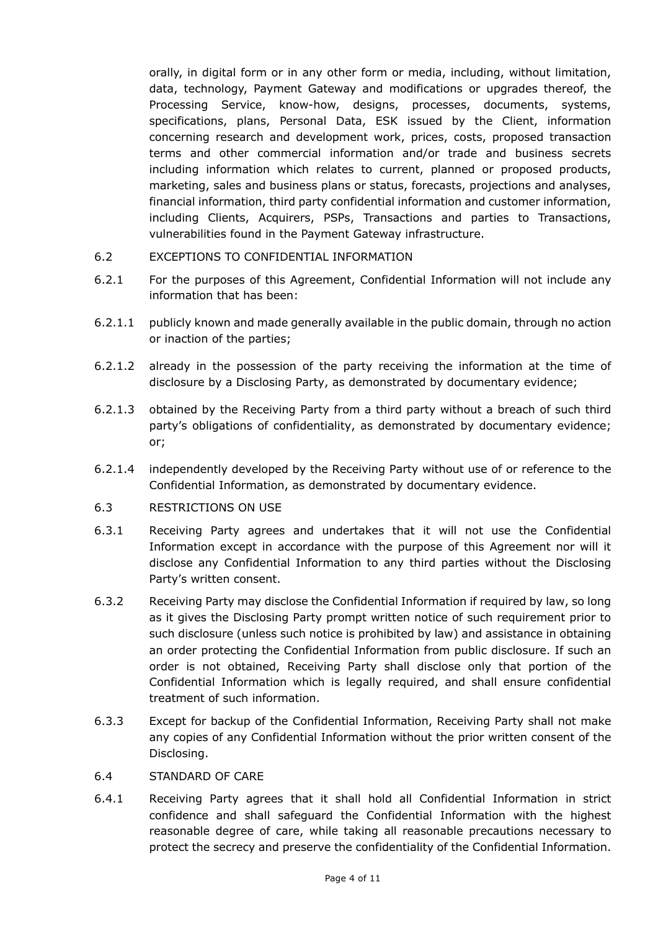orally, in digital form or in any other form or media, including, without limitation, data, technology, Payment Gateway and modifications or upgrades thereof, the Processing Service, know-how, designs, processes, documents, systems, specifications, plans, Personal Data, ESK issued by the Client, information concerning research and development work, prices, costs, proposed transaction terms and other commercial information and/or trade and business secrets including information which relates to current, planned or proposed products, marketing, sales and business plans or status, forecasts, projections and analyses, financial information, third party confidential information and customer information, including Clients, Acquirers, PSPs, Transactions and parties to Transactions, vulnerabilities found in the Payment Gateway infrastructure.

- 6.2 EXCEPTIONS TO CONFIDENTIAL INFORMATION
- 6.2.1 For the purposes of this Agreement, Confidential Information will not include any information that has been:
- 6.2.1.1 publicly known and made generally available in the public domain, through no action or inaction of the parties;
- 6.2.1.2 already in the possession of the party receiving the information at the time of disclosure by a Disclosing Party, as demonstrated by documentary evidence;
- 6.2.1.3 obtained by the Receiving Party from a third party without a breach of such third party's obligations of confidentiality, as demonstrated by documentary evidence; or;
- 6.2.1.4 independently developed by the Receiving Party without use of or reference to the Confidential Information, as demonstrated by documentary evidence.
- 6.3 RESTRICTIONS ON USE
- 6.3.1 Receiving Party agrees and undertakes that it will not use the Confidential Information except in accordance with the purpose of this Agreement nor will it disclose any Confidential Information to any third parties without the Disclosing Party's written consent.
- 6.3.2 Receiving Party may disclose the Confidential Information if required by law, so long as it gives the Disclosing Party prompt written notice of such requirement prior to such disclosure (unless such notice is prohibited by law) and assistance in obtaining an order protecting the Confidential Information from public disclosure. If such an order is not obtained, Receiving Party shall disclose only that portion of the Confidential Information which is legally required, and shall ensure confidential treatment of such information.
- 6.3.3 Except for backup of the Confidential Information, Receiving Party shall not make any copies of any Confidential Information without the prior written consent of the Disclosing.
- 6.4 STANDARD OF CARE
- 6.4.1 Receiving Party agrees that it shall hold all Confidential Information in strict confidence and shall safeguard the Confidential Information with the highest reasonable degree of care, while taking all reasonable precautions necessary to protect the secrecy and preserve the confidentiality of the Confidential Information.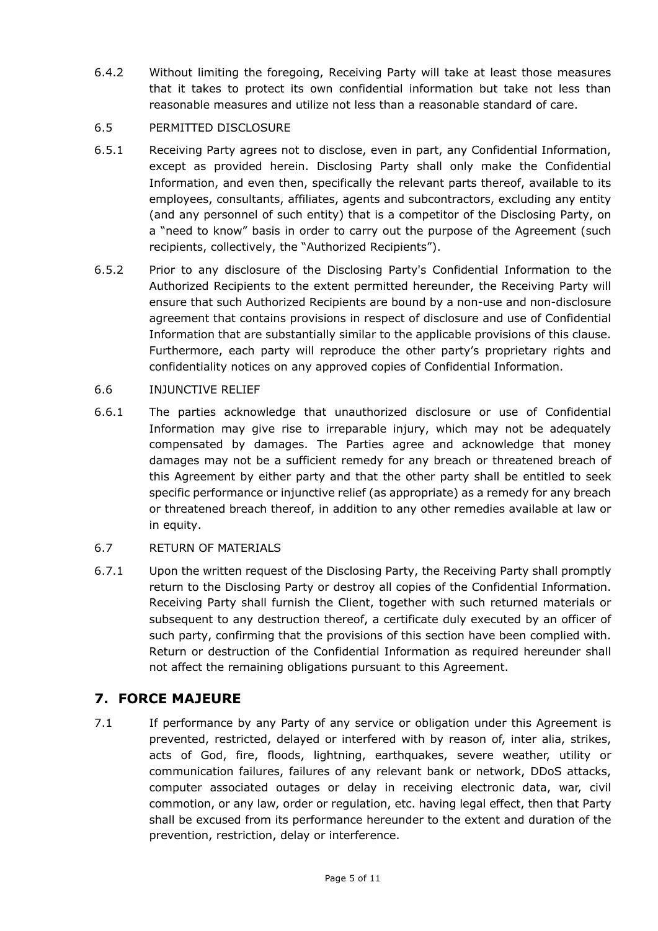6.4.2 Without limiting the foregoing, Receiving Party will take at least those measures that it takes to protect its own confidential information but take not less than reasonable measures and utilize not less than a reasonable standard of care.

#### 6.5 PERMITTED DISCLOSURE

- 6.5.1 Receiving Party agrees not to disclose, even in part, any Confidential Information, except as provided herein. Disclosing Party shall only make the Confidential Information, and even then, specifically the relevant parts thereof, available to its employees, consultants, affiliates, agents and subcontractors, excluding any entity (and any personnel of such entity) that is a competitor of the Disclosing Party, on a "need to know" basis in order to carry out the purpose of the Agreement (such recipients, collectively, the "Authorized Recipients").
- 6.5.2 Prior to any disclosure of the Disclosing Party's Confidential Information to the Authorized Recipients to the extent permitted hereunder, the Receiving Party will ensure that such Authorized Recipients are bound by a non-use and non-disclosure agreement that contains provisions in respect of disclosure and use of Confidential Information that are substantially similar to the applicable provisions of this clause. Furthermore, each party will reproduce the other party's proprietary rights and confidentiality notices on any approved copies of Confidential Information.

#### 6.6 INJUNCTIVE RELIEF

- 6.6.1 The parties acknowledge that unauthorized disclosure or use of Confidential Information may give rise to irreparable injury, which may not be adequately compensated by damages. The Parties agree and acknowledge that money damages may not be a sufficient remedy for any breach or threatened breach of this Agreement by either party and that the other party shall be entitled to seek specific performance or injunctive relief (as appropriate) as a remedy for any breach or threatened breach thereof, in addition to any other remedies available at law or in equity.
- 6.7 RETURN OF MATERIALS
- 6.7.1 Upon the written request of the Disclosing Party, the Receiving Party shall promptly return to the Disclosing Party or destroy all copies of the Confidential Information. Receiving Party shall furnish the Client, together with such returned materials or subsequent to any destruction thereof, a certificate duly executed by an officer of such party, confirming that the provisions of this section have been complied with. Return or destruction of the Confidential Information as required hereunder shall not affect the remaining obligations pursuant to this Agreement.

# **7. FORCE MAJEURE**

7.1 If performance by any Party of any service or obligation under this Agreement is prevented, restricted, delayed or interfered with by reason of, inter alia, strikes, acts of God, fire, floods, lightning, earthquakes, severe weather, utility or communication failures, failures of any relevant bank or network, DDoS attacks, computer associated outages or delay in receiving electronic data, war, civil commotion, or any law, order or regulation, etc. having legal effect, then that Party shall be excused from its performance hereunder to the extent and duration of the prevention, restriction, delay or interference.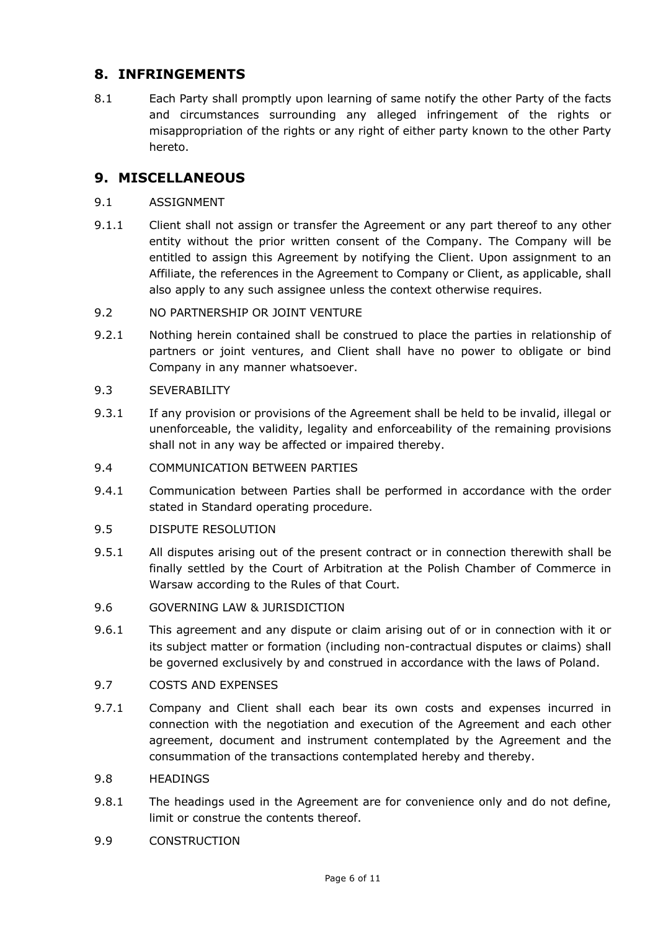## **8. INFRINGEMENTS**

8.1 Each Party shall promptly upon learning of same notify the other Party of the facts and circumstances surrounding any alleged infringement of the rights or misappropriation of the rights or any right of either party known to the other Party hereto.

### **9. MISCELLANEOUS**

- 9.1 ASSIGNMENT
- 9.1.1 Client shall not assign or transfer the Agreement or any part thereof to any other entity without the prior written consent of the Company. The Company will be entitled to assign this Agreement by notifying the Client. Upon assignment to an Affiliate, the references in the Agreement to Company or Client, as applicable, shall also apply to any such assignee unless the context otherwise requires.
- 9.2 NO PARTNERSHIP OR JOINT VENTURE
- 9.2.1 Nothing herein contained shall be construed to place the parties in relationship of partners or joint ventures, and Client shall have no power to obligate or bind Company in any manner whatsoever.
- 9.3 SEVERABILITY
- 9.3.1 If any provision or provisions of the Agreement shall be held to be invalid, illegal or unenforceable, the validity, legality and enforceability of the remaining provisions shall not in any way be affected or impaired thereby.
- 9.4 COMMUNICATION BETWEEN PARTIES
- 9.4.1 Communication between Parties shall be performed in accordance with the order stated in Standard operating procedure.
- 9.5 DISPUTE RESOLUTION
- 9.5.1 All disputes arising out of the present contract or in connection therewith shall be finally settled by the Court of Arbitration at the Polish Chamber of Commerce in Warsaw according to the Rules of that Court.
- 9.6 GOVERNING LAW & JURISDICTION
- 9.6.1 This agreement and any dispute or claim arising out of or in connection with it or its subject matter or formation (including non-contractual disputes or claims) shall be governed exclusively by and construed in accordance with the laws of Poland.
- 9.7 COSTS AND EXPENSES
- 9.7.1 Company and Client shall each bear its own costs and expenses incurred in connection with the negotiation and execution of the Agreement and each other agreement, document and instrument contemplated by the Agreement and the consummation of the transactions contemplated hereby and thereby.
- 9.8 HEADINGS
- 9.8.1 The headings used in the Agreement are for convenience only and do not define, limit or construe the contents thereof.
- 9.9 CONSTRUCTION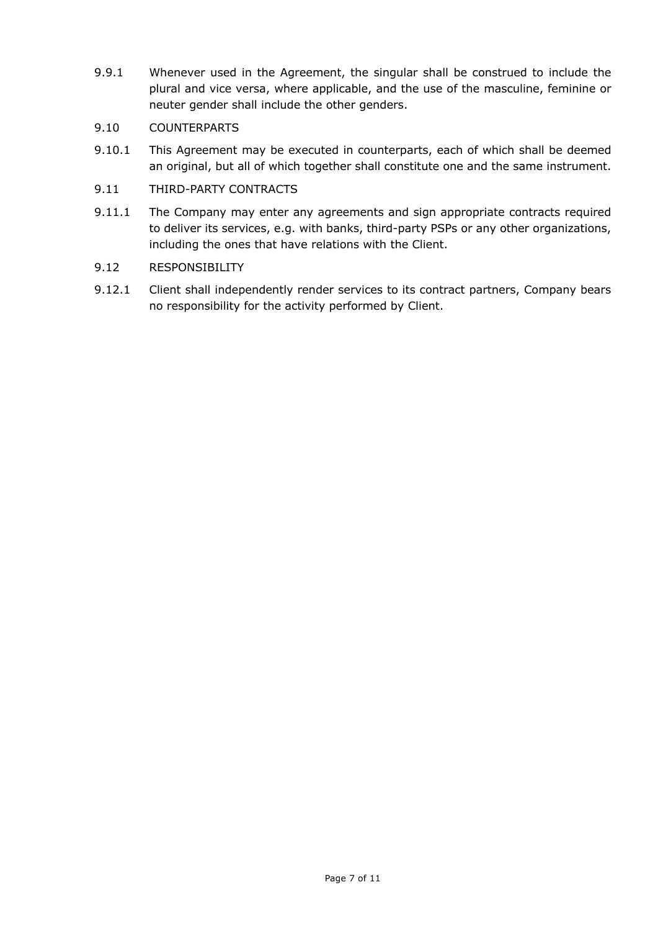9.9.1 Whenever used in the Agreement, the singular shall be construed to include the plural and vice versa, where applicable, and the use of the masculine, feminine or neuter gender shall include the other genders.

#### 9.10 COUNTERPARTS

9.10.1 This Agreement may be executed in counterparts, each of which shall be deemed an original, but all of which together shall constitute one and the same instrument.

#### 9.11 THIRD-PARTY CONTRACTS

9.11.1 The Company may enter any agreements and sign appropriate contracts required to deliver its services, e.g. with banks, third-party PSPs or any other organizations, including the ones that have relations with the Client.

#### 9.12 RESPONSIBILITY

9.12.1 Client shall independently render services to its contract partners, Company bears no responsibility for the activity performed by Client.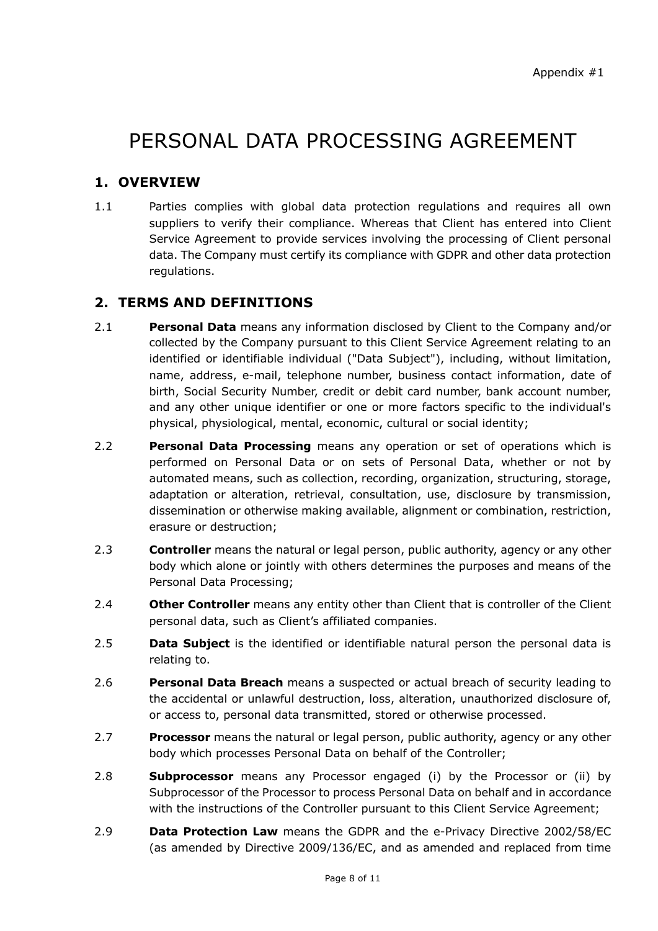# PERSONAL DATA PROCESSING AGREEMENT

# **1. OVERVIEW**

1.1 Parties complies with global data protection regulations and requires all own suppliers to verify their compliance. Whereas that Client has entered into Client Service Agreement to provide services involving the processing of Client personal data. The Company must certify its compliance with GDPR and other data protection regulations.

## **2. TERMS AND DEFINITIONS**

- 2.1 **Personal Data** means any information disclosed by Client to the Company and/or collected by the Company pursuant to this Client Service Agreement relating to an identified or identifiable individual ("Data Subject"), including, without limitation, name, address, e-mail, telephone number, business contact information, date of birth, Social Security Number, credit or debit card number, bank account number, and any other unique identifier or one or more factors specific to the individual's physical, physiological, mental, economic, cultural or social identity;
- 2.2 **Personal Data Processing** means any operation or set of operations which is performed on Personal Data or on sets of Personal Data, whether or not by automated means, such as collection, recording, organization, structuring, storage, adaptation or alteration, retrieval, consultation, use, disclosure by transmission, dissemination or otherwise making available, alignment or combination, restriction, erasure or destruction;
- 2.3 **Controller** means the natural or legal person, public authority, agency or any other body which alone or jointly with others determines the purposes and means of the Personal Data Processing;
- 2.4 **Other Controller** means any entity other than Client that is controller of the Client personal data, such as Client's affiliated companies.
- 2.5 **Data Subject** is the identified or identifiable natural person the personal data is relating to.
- 2.6 **Personal Data Breach** means a suspected or actual breach of security leading to the accidental or unlawful destruction, loss, alteration, unauthorized disclosure of, or access to, personal data transmitted, stored or otherwise processed.
- 2.7 **Processor** means the natural or legal person, public authority, agency or any other body which processes Personal Data on behalf of the Controller;
- 2.8 **Subprocessor** means any Processor engaged (i) by the Processor or (ii) by Subprocessor of the Processor to process Personal Data on behalf and in accordance with the instructions of the Controller pursuant to this Client Service Agreement;
- 2.9 **Data Protection Law** means the GDPR and the e-Privacy Directive 2002/58/EC (as amended by Directive 2009/136/EC, and as amended and replaced from time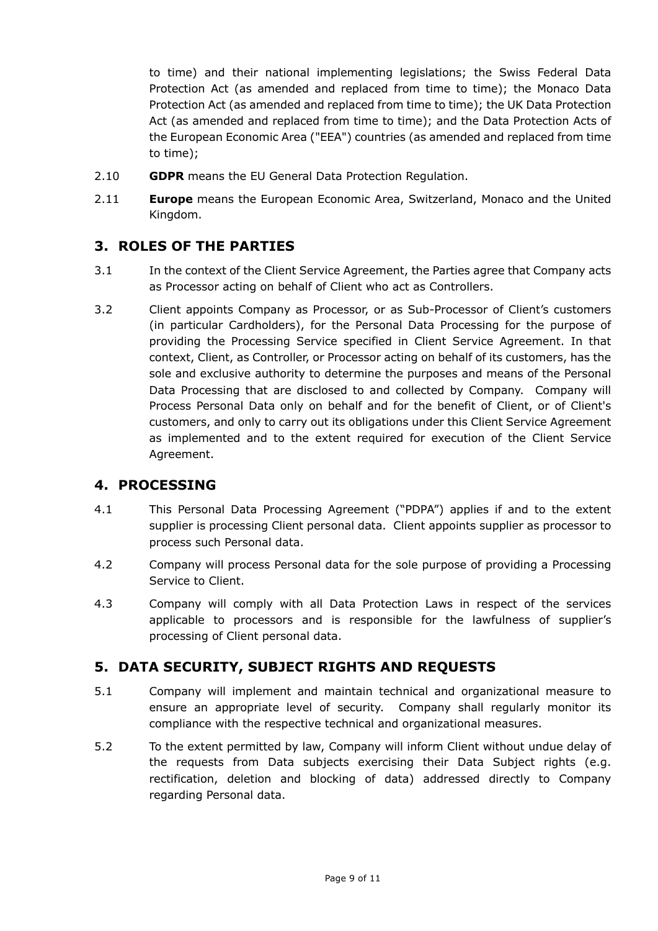to time) and their national implementing legislations; the Swiss Federal Data Protection Act (as amended and replaced from time to time); the Monaco Data Protection Act (as amended and replaced from time to time); the UK Data Protection Act (as amended and replaced from time to time); and the Data Protection Acts of the European Economic Area ("EEA") countries (as amended and replaced from time to time);

- 2.10 **GDPR** means the EU General Data Protection Regulation.
- 2.11 **Europe** means the European Economic Area, Switzerland, Monaco and the United Kingdom.

## **3. ROLES OF THE PARTIES**

- 3.1 In the context of the Client Service Agreement, the Parties agree that Company acts as Processor acting on behalf of Client who act as Controllers.
- 3.2 Client appoints Company as Processor, or as Sub-Processor of Client's customers (in particular Cardholders), for the Personal Data Processing for the purpose of providing the Processing Service specified in Client Service Agreement. In that context, Client, as Controller, or Processor acting on behalf of its customers, has the sole and exclusive authority to determine the purposes and means of the Personal Data Processing that are disclosed to and collected by Company. Company will Process Personal Data only on behalf and for the benefit of Client, or of Client's customers, and only to carry out its obligations under this Client Service Agreement as implemented and to the extent required for execution of the Client Service Agreement.

#### **4. PROCESSING**

- 4.1 This Personal Data Processing Agreement ("PDPA") applies if and to the extent supplier is processing Client personal data. Client appoints supplier as processor to process such Personal data.
- 4.2 Company will process Personal data for the sole purpose of providing a Processing Service to Client.
- 4.3 Company will comply with all Data Protection Laws in respect of the services applicable to processors and is responsible for the lawfulness of supplier's processing of Client personal data.

## **5. DATA SECURITY, SUBJECT RIGHTS AND REQUESTS**

- 5.1 Company will implement and maintain technical and organizational measure to ensure an appropriate level of security. Company shall regularly monitor its compliance with the respective technical and organizational measures.
- 5.2 To the extent permitted by law, Company will inform Client without undue delay of the requests from Data subjects exercising their Data Subject rights (e.g. rectification, deletion and blocking of data) addressed directly to Company regarding Personal data.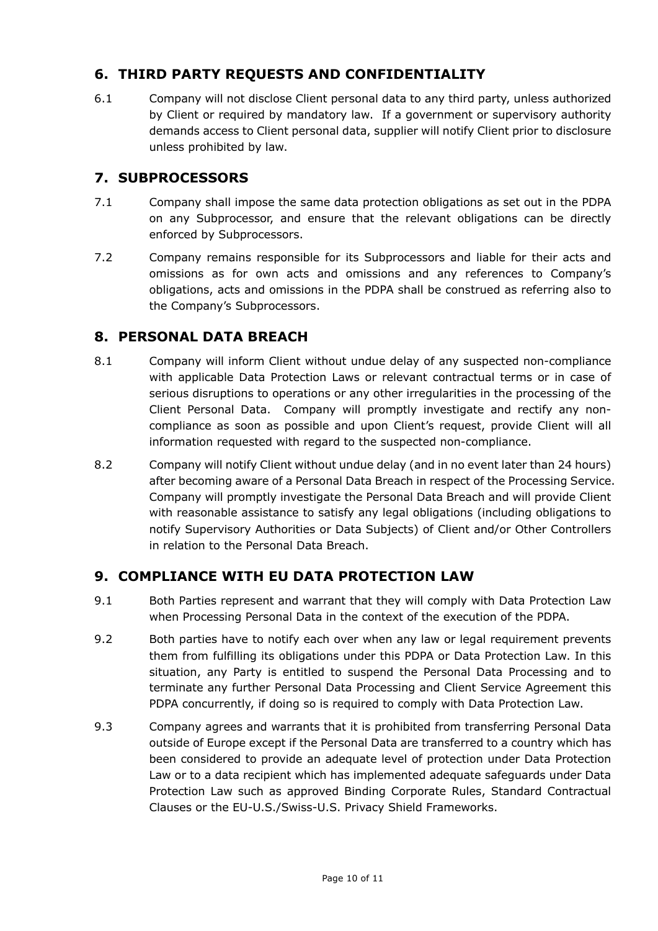# **6. THIRD PARTY REQUESTS AND CONFIDENTIALITY**

6.1 Company will not disclose Client personal data to any third party, unless authorized by Client or required by mandatory law. If a government or supervisory authority demands access to Client personal data, supplier will notify Client prior to disclosure unless prohibited by law.

## **7. SUBPROCESSORS**

- 7.1 Company shall impose the same data protection obligations as set out in the PDPA on any Subprocessor, and ensure that the relevant obligations can be directly enforced by Subprocessors.
- 7.2 Company remains responsible for its Subprocessors and liable for their acts and omissions as for own acts and omissions and any references to Company's obligations, acts and omissions in the PDPA shall be construed as referring also to the Company's Subprocessors.

## **8. PERSONAL DATA BREACH**

- 8.1 Company will inform Client without undue delay of any suspected non-compliance with applicable Data Protection Laws or relevant contractual terms or in case of serious disruptions to operations or any other irregularities in the processing of the Client Personal Data. Company will promptly investigate and rectify any noncompliance as soon as possible and upon Client's request, provide Client will all information requested with regard to the suspected non-compliance.
- 8.2 Company will notify Client without undue delay (and in no event later than 24 hours) after becoming aware of a Personal Data Breach in respect of the Processing Service. Company will promptly investigate the Personal Data Breach and will provide Client with reasonable assistance to satisfy any legal obligations (including obligations to notify Supervisory Authorities or Data Subjects) of Client and/or Other Controllers in relation to the Personal Data Breach.

## **9. COMPLIANCE WITH EU DATA PROTECTION LAW**

- 9.1 Both Parties represent and warrant that they will comply with Data Protection Law when Processing Personal Data in the context of the execution of the PDPA.
- 9.2 Both parties have to notify each over when any law or legal requirement prevents them from fulfilling its obligations under this PDPA or Data Protection Law. In this situation, any Party is entitled to suspend the Personal Data Processing and to terminate any further Personal Data Processing and Client Service Agreement this PDPA concurrently, if doing so is required to comply with Data Protection Law.
- 9.3 Company agrees and warrants that it is prohibited from transferring Personal Data outside of Europe except if the Personal Data are transferred to a country which has been considered to provide an adequate level of protection under Data Protection Law or to a data recipient which has implemented adequate safeguards under Data Protection Law such as approved Binding Corporate Rules, Standard Contractual Clauses or the EU-U.S./Swiss-U.S. Privacy Shield Frameworks.